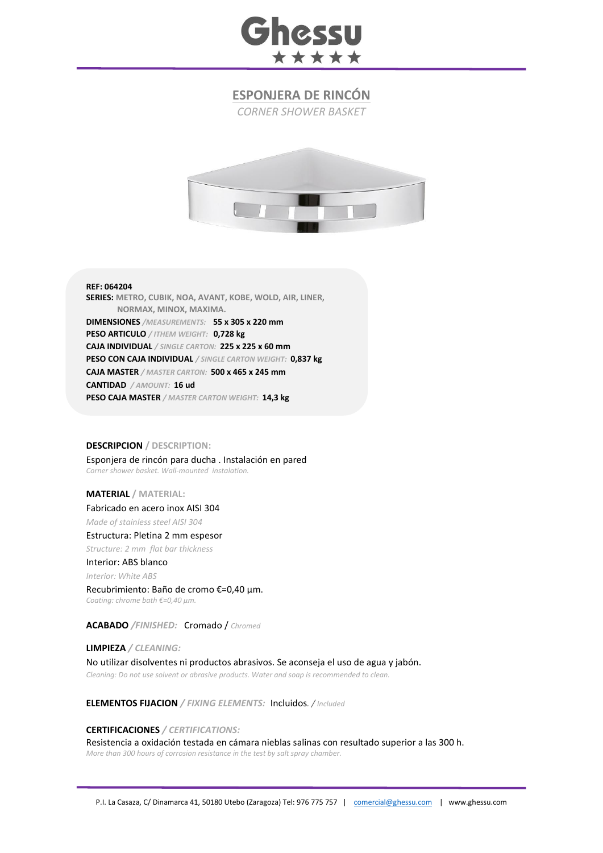

# **ESPONJERA DE RINCÓN**

*CORNER SHOWER BASKET*



### **REF: 064204**

**SERIES: METRO, CUBIK, NOA, AVANT, KOBE, WOLD, AIR, LINER, NORMAX, MINOX, MAXIMA. DIMENSIONES** */MEASUREMENTS:* **55 x 305 x 220 mm PESO ARTICULO** */ ITHEM WEIGHT:* **0,728 kg CAJA INDIVIDUAL** */ SINGLE CARTON:* **225 x 225 x 60 mm PESO CON CAJA INDIVIDUAL** */ SINGLE CARTON WEIGHT:* **0,837 kg CAJA MASTER** */ MASTER CARTON:* **500 x 465 x 245 mm CANTIDAD** */ AMOUNT:* **16 ud PESO CAJA MASTER** */ MASTER CARTON WEIGHT:* **14,3 kg**

### **DESCRIPCION / DESCRIPTION:**

Esponjera de rincón para ducha . Instalación en pared *Corner shower basket. Wall-mounted instalation.*

# **MATERIAL / MATERIAL:**

# Fabricado en acero inox AISI 304

*Made of stainless steel AISI 304*

# Estructura: Pletina 2 mm espesor

*Structure: 2 mm flat bar thickness*

# Interior: ABS blanco

*Interior: White ABS*

### Recubrimiento: Baño de cromo €=0,40 μm.

*Coating: chrome bath €=0,40 μm.*

### **ACABADO** */FINISHED:*Cromado / *Chromed*

**LIMPIEZA** */ CLEANING:* No utilizar disolventes ni productos abrasivos. Se aconseja el uso de agua y jabón. *Cleaning: Do not use solvent or abrasive products. Water and soap is recommended to clean.*

### **ELEMENTOS FIJACION** */ FIXING ELEMENTS:* Incluidos*. / Included*

### **CERTIFICACIONES** */ CERTIFICATIONS:*

Resistencia a oxidación testada en cámara nieblas salinas con resultado superior a las 300 h. *More than 300 hours of corrosion resistance in the test by salt spray chamber.*